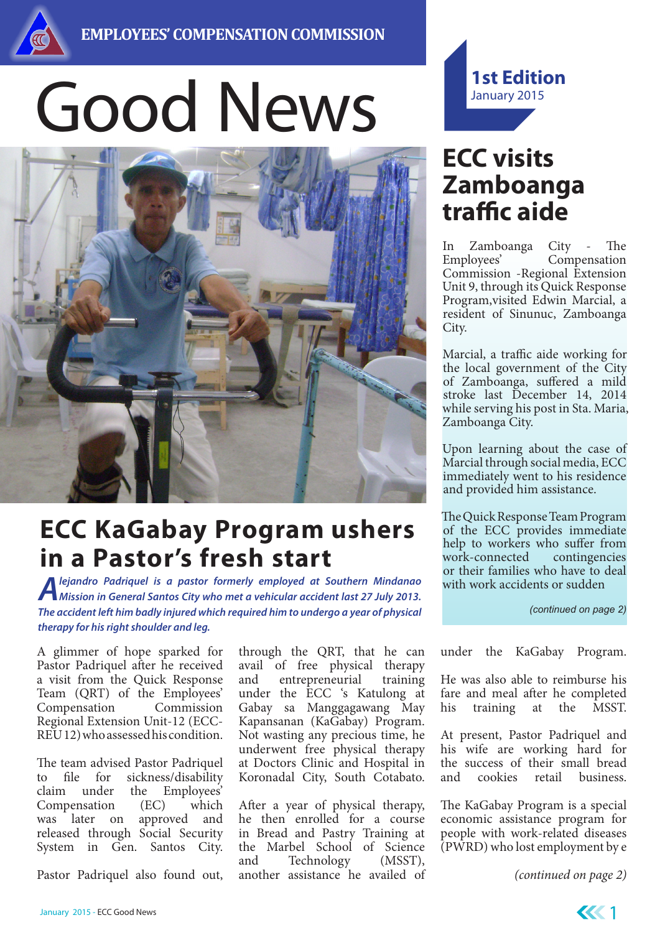

# Good News



## **ECC KaGabay Program ushers in a Pastor's fresh start**

*Alejandro Padriquel is a pastor formerly employed at Southern Mindanao Mission in General Santos City who met a vehicular accident last 27 July 2013. The accident left him badly injured which required him to undergo a year of physical therapy for his right shoulder and leg.*

A glimmer of hope sparked for Pastor Padriquel after he received a visit from the Quick Response Team (QRT) of the Employees' Compensation Commission Regional Extension Unit-12 (ECC-REU 12) who assessed his condition.

The team advised Pastor Padriquel to file for sickness/disability claim under the Employees' Compensation (EC) which was later on approved and released through Social Security System in Gen. Santos City.

Pastor Padriquel also found out,

through the QRT, that he can avail of free physical therapy and entrepreneurial training under the ECC 's Katulong at Gabay sa Manggagawang May Kapansanan (KaGabay) Program. Not wasting any precious time, he underwent free physical therapy at Doctors Clinic and Hospital in Koronadal City, South Cotabato.

After a year of physical therapy, he then enrolled for a course in Bread and Pastry Training at the Marbel School of Science and Technology (MSST), another assistance he availed of



### **ECC visits Zamboanga traffic aide**

In Zamboanga City - The Employees' Compensation Commission -Regional Extension Unit 9, through its Quick Response Program,visited Edwin Marcial, a resident of Sinunuc, Zamboanga City.

Marcial, a traffic aide working for the local government of the City of Zamboanga, suffered a mild stroke last December 14, 2014 while serving his post in Sta. Maria, Zamboanga City.

Upon learning about the case of Marcial through social media, ECC immediately went to his residence and provided him assistance.

The Quick Response Team Program of the ECC provides immediate help to workers who suffer from work-connected contingencies or their families who have to deal with work accidents or sudden

*(continued on page 2)*

under the KaGabay Program.

He was also able to reimburse his fare and meal after he completed his training at the MSST.

At present, Pastor Padriquel and his wife are working hard for the success of their small bread<br>and cookies retail business. and cookies retail business.

The KaGabay Program is a special economic assistance program for people with work-related diseases (PWRD) who lost employment by e

*(continued on page 2)*